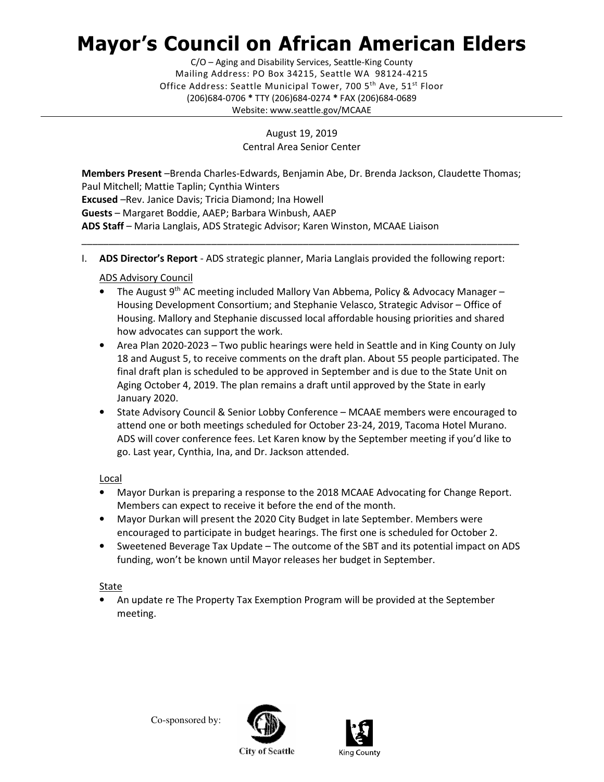# Mayor's Council on African American Elders

 Mailing Address: PO Box 34215, Seattle WA 98124-4215 Office Address: Seattle Municipal Tower, 700 5<sup>th</sup> Ave, 51<sup>st</sup> Floor (206)684-0706 \* TTY (206)684-0274 \* FAX (206)684-0689 C/O – Aging and Disability Services, Seattle-King County Website: <www.seattle.gov/MCAAE>

> August 19, 2019 Central Area Senior Center

Members Present -Brenda Charles-Edwards, Benjamin Abe, Dr. Brenda Jackson, Claudette Thomas; Paul Mitchell; Mattie Taplin; Cynthia Winters Excused –Rev. Janice Davis; Tricia Diamond; Ina Howell Guests - Margaret Boddie, AAEP; Barbara Winbush, AAEP ADS Staff - Maria Langlais, ADS Strategic Advisor; Karen Winston, MCAAE Liaison

\_\_\_\_\_\_\_\_\_\_\_\_\_\_\_\_\_\_\_\_\_\_\_\_\_\_\_\_\_\_\_\_\_\_\_\_\_\_\_\_\_\_\_\_\_\_\_\_\_\_\_\_\_\_\_\_\_\_\_\_\_\_\_\_\_\_\_\_\_\_\_\_\_\_\_\_\_\_\_\_\_

I. ADS Director's Report - ADS strategic planner, Maria Langlais provided the following report:

## ADS Advisory Council

- The August 9<sup>th</sup> AC meeting included Mallory Van Abbema, Policy & Advocacy Manager - Housing Development Consortium; and Stephanie Velasco, Strategic Advisor – Office of Housing. Mallory and Stephanie discussed local affordable housing priorities and shared how advocates can support the work.
- • Area Plan 2020-2023 Two public hearings were held in Seattle and in King County on July 18 and August 5, to receive comments on the draft plan. About 55 people participated. The final draft plan is scheduled to be approved in September and is due to the State Unit on Aging October 4, 2019. The plan remains a draft until approved by the State in early January 2020.
- • State Advisory Council & Senior Lobby Conference MCAAE members were encouraged to attend one or both meetings scheduled for October 23-24, 2019, Tacoma Hotel Murano. ADS will cover conference fees. Let Karen know by the September meeting if you'd like to go. Last year, Cynthia, Ina, and Dr. Jackson attended.

#### Local

- • Mayor Durkan is preparing a response to the 2018 MCAAE Advocating for Change Report. Members can expect to receive it before the end of the month.
- • Mayor Durkan will present the 2020 City Budget in late September. Members were encouraged to participate in budget hearings. The first one is scheduled for October 2.
- • Sweetened Beverage Tax Update The outcome of the SBT and its potential impact on ADS funding, won't be known until Mayor releases her budget in September.

## State

 • An update re The Property Tax Exemption Program will be provided at the September meeting.

Co-sponsored by: